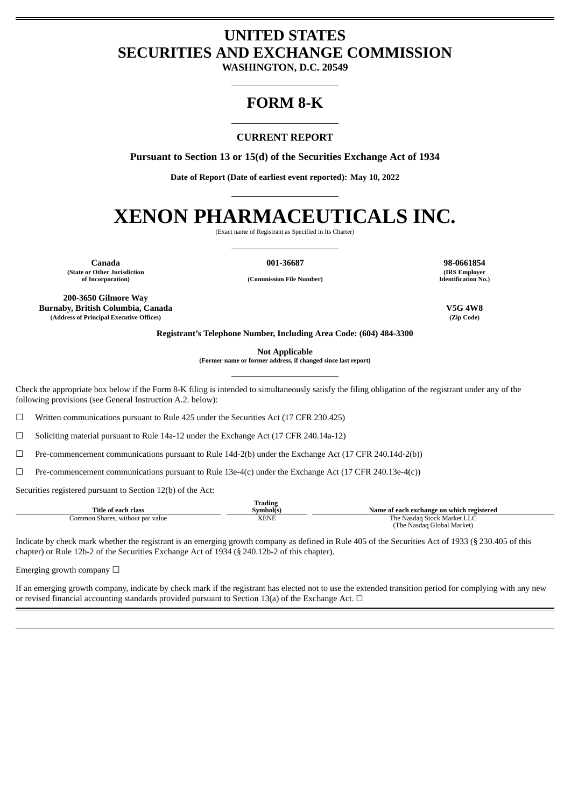# **UNITED STATES SECURITIES AND EXCHANGE COMMISSION**

**WASHINGTON, D.C. 20549**

# **FORM 8-K**

# **CURRENT REPORT**

**Pursuant to Section 13 or 15(d) of the Securities Exchange Act of 1934**

**Date of Report (Date of earliest event reported): May 10, 2022**

# **XENON PHARMACEUTICALS INC.**

(Exact name of Registrant as Specified in Its Charter)

**(State or Other Jurisdiction**

**of Incorporation) (Commission File Number)**

**Canada 001-36687 98-0661854 (IRS Employer Identification No.)**

**200-3650 Gilmore Way Burnaby, British Columbia, Canada V5G 4W8 (Address of Principal Executive Offices) (Zip Code)**

**Registrant's Telephone Number, Including Area Code: (604) 484-3300**

**Not Applicable**

**(Former name or former address, if changed since last report)**

Check the appropriate box below if the Form 8-K filing is intended to simultaneously satisfy the filing obligation of the registrant under any of the following provisions (see General Instruction A.2. below):

 $\Box$  Written communications pursuant to Rule 425 under the Securities Act (17 CFR 230.425)

 $\Box$  Soliciting material pursuant to Rule 14a-12 under the Exchange Act (17 CFR 240.14a-12)

☐ Pre-commencement communications pursuant to Rule 14d-2(b) under the Exchange Act (17 CFR 240.14d-2(b))

 $\Box$  Pre-commencement communications pursuant to Rule 13e-4(c) under the Exchange Act (17 CFR 240.13e-4(c))

Securities registered pursuant to Section 12(b) of the Act:

|                                  | Trading     |                                           |
|----------------------------------|-------------|-------------------------------------------|
| Title of each class              | Svmbol(s)   | Name of each exchange on which registered |
| Common Shares, without par value | <b>XENE</b> | The Nasdag Stock Market LLC               |
|                                  |             | (The Nasdaq Global Market)                |

Indicate by check mark whether the registrant is an emerging growth company as defined in Rule 405 of the Securities Act of 1933 (§ 230.405 of this chapter) or Rule 12b-2 of the Securities Exchange Act of 1934 (§ 240.12b-2 of this chapter).

Emerging growth company  $\Box$ 

If an emerging growth company, indicate by check mark if the registrant has elected not to use the extended transition period for complying with any new or revised financial accounting standards provided pursuant to Section 13(a) of the Exchange Act.  $\Box$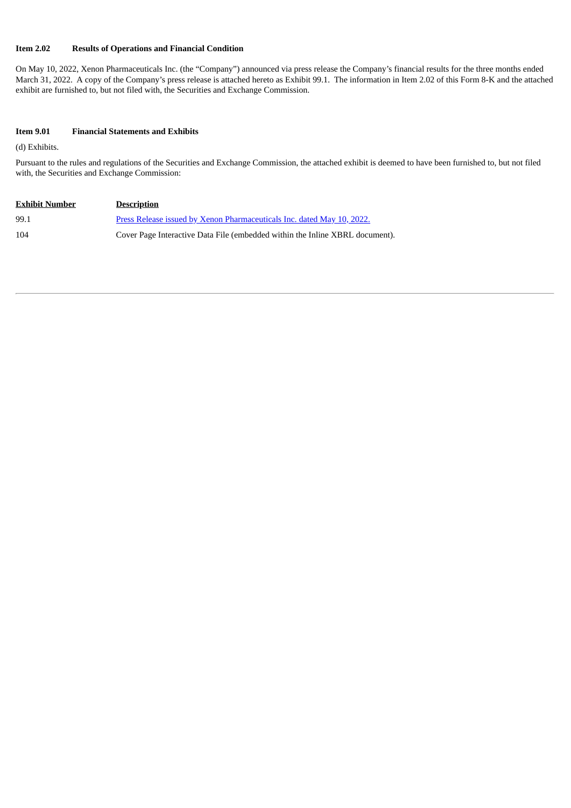## **Item 2.02 Results of Operations and Financial Condition**

On May 10, 2022, Xenon Pharmaceuticals Inc. (the "Company") announced via press release the Company's financial results for the three months ended March 31, 2022. A copy of the Company's press release is attached hereto as Exhibit 99.1. The information in Item 2.02 of this Form 8-K and the attached exhibit are furnished to, but not filed with, the Securities and Exchange Commission.

## **Item 9.01 Financial Statements and Exhibits**

(d) Exhibits.

Pursuant to the rules and regulations of the Securities and Exchange Commission, the attached exhibit is deemed to have been furnished to, but not filed with, the Securities and Exchange Commission:

| <b>Exhibit Number</b> | <b>Description</b>                                                           |
|-----------------------|------------------------------------------------------------------------------|
| 99.1                  | Press Release issued by Xenon Pharmaceuticals Inc. dated May 10, 2022.       |
| 104                   | Cover Page Interactive Data File (embedded within the Inline XBRL document). |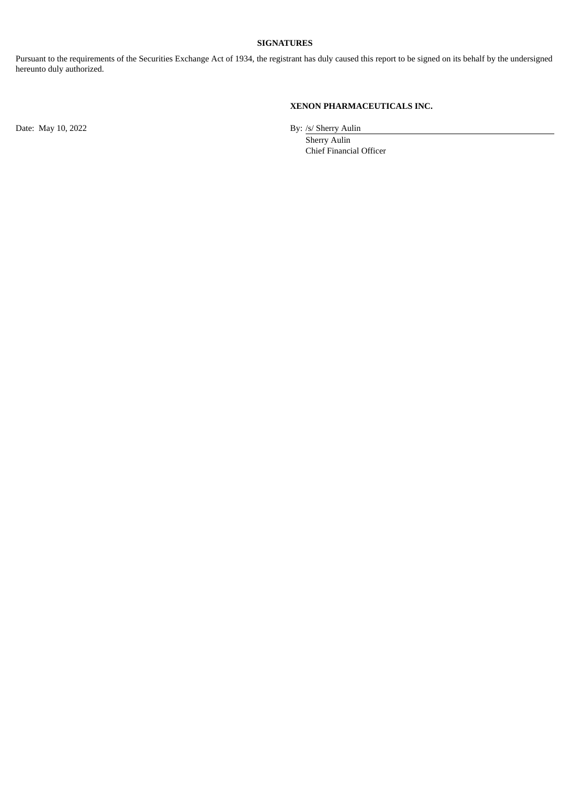### **SIGNATURES**

Pursuant to the requirements of the Securities Exchange Act of 1934, the registrant has duly caused this report to be signed on its behalf by the undersigned hereunto duly authorized.

# **XENON PHARMACEUTICALS INC.**

Date: May 10, 2022 By: /s/ Sherry Aulin

Sherry Aulin Chief Financial Officer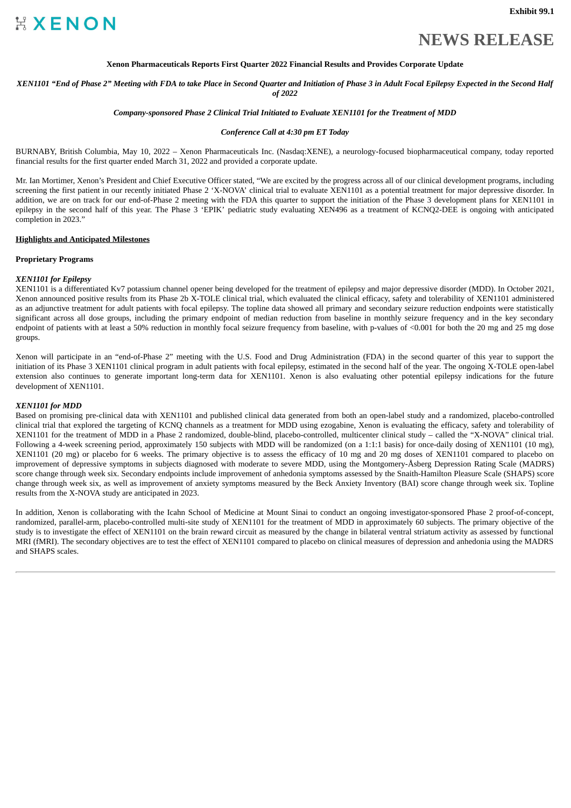# **NEWS RELEASE**

#### **Xenon Pharmaceuticals Reports First Quarter 2022 Financial Results and Provides Corporate Update**

<span id="page-3-0"></span>XEN1101 "End of Phase 2" Meeting with FDA to take Place in Second Quarter and Initiation of Phase 3 in Adult Focal Epilepsy Expected in the Second Half *of 2022*

#### *Company-sponsored Phase 2 Clinical Trial Initiated to Evaluate XEN1101 for the Treatment of MDD*

#### *Conference Call at 4:30 pm ET Today*

BURNABY, British Columbia, May 10, 2022 – Xenon Pharmaceuticals Inc. (Nasdaq:XENE), a neurology-focused biopharmaceutical company, today reported financial results for the first quarter ended March 31, 2022 and provided a corporate update.

Mr. Ian Mortimer, Xenon's President and Chief Executive Officer stated, "We are excited by the progress across all of our clinical development programs, including screening the first patient in our recently initiated Phase 2 'X-NOVA' clinical trial to evaluate XEN1101 as a potential treatment for major depressive disorder. In addition, we are on track for our end-of-Phase 2 meeting with the FDA this quarter to support the initiation of the Phase 3 development plans for XEN1101 in epilepsy in the second half of this year. The Phase 3 'EPIK' pediatric study evaluating XEN496 as a treatment of KCNQ2-DEE is ongoing with anticipated completion in 2023."

#### **Highlights and Anticipated Milestones**

#### **Proprietary Programs**

#### *XEN1101 for Epilepsy*

XEN1101 is a differentiated Kv7 potassium channel opener being developed for the treatment of epilepsy and major depressive disorder (MDD). In October 2021, Xenon announced positive results from its Phase 2b X-TOLE clinical trial, which evaluated the clinical efficacy, safety and tolerability of XEN1101 administered as an adjunctive treatment for adult patients with focal epilepsy. The topline data showed all primary and secondary seizure reduction endpoints were statistically significant across all dose groups, including the primary endpoint of median reduction from baseline in monthly seizure frequency and in the key secondary endpoint of patients with at least a 50% reduction in monthly focal seizure frequency from baseline, with p-values of <0.001 for both the 20 mg and 25 mg dose groups.

Xenon will participate in an "end-of-Phase 2" meeting with the U.S. Food and Drug Administration (FDA) in the second quarter of this year to support the initiation of its Phase 3 XEN1101 clinical program in adult patients with focal epilepsy, estimated in the second half of the year. The ongoing X-TOLE open-label extension also continues to generate important long-term data for XEN1101. Xenon is also evaluating other potential epilepsy indications for the future development of XEN1101.

#### *XEN1101 for MDD*

Based on promising pre-clinical data with XEN1101 and published clinical data generated from both an open-label study and a randomized, placebo-controlled clinical trial that explored the targeting of KCNQ channels as a treatment for MDD using ezogabine, Xenon is evaluating the efficacy, safety and tolerability of XEN1101 for the treatment of MDD in a Phase 2 randomized, double-blind, placebo-controlled, multicenter clinical study – called the "X-NOVA" clinical trial. Following a 4-week screening period, approximately 150 subjects with MDD will be randomized (on a 1:1:1 basis) for once-daily dosing of XEN1101 (10 mg), XEN1101 (20 mg) or placebo for 6 weeks. The primary objective is to assess the efficacy of 10 mg and 20 mg doses of XEN1101 compared to placebo on improvement of depressive symptoms in subjects diagnosed with moderate to severe MDD, using the Montgomery-Åsberg Depression Rating Scale (MADRS) score change through week six. Secondary endpoints include improvement of anhedonia symptoms assessed by the Snaith-Hamilton Pleasure Scale (SHAPS) score change through week six, as well as improvement of anxiety symptoms measured by the Beck Anxiety Inventory (BAI) score change through week six. Topline results from the X-NOVA study are anticipated in 2023.

In addition, Xenon is collaborating with the Icahn School of Medicine at Mount Sinai to conduct an ongoing investigator-sponsored Phase 2 proof-of-concept, randomized, parallel-arm, placebo-controlled multi-site study of XEN1101 for the treatment of MDD in approximately 60 subjects. The primary objective of the study is to investigate the effect of XEN1101 on the brain reward circuit as measured by the change in bilateral ventral striatum activity as assessed by functional MRI (fMRI). The secondary objectives are to test the effect of XEN1101 compared to placebo on clinical measures of depression and anhedonia using the MADRS and SHAPS scales.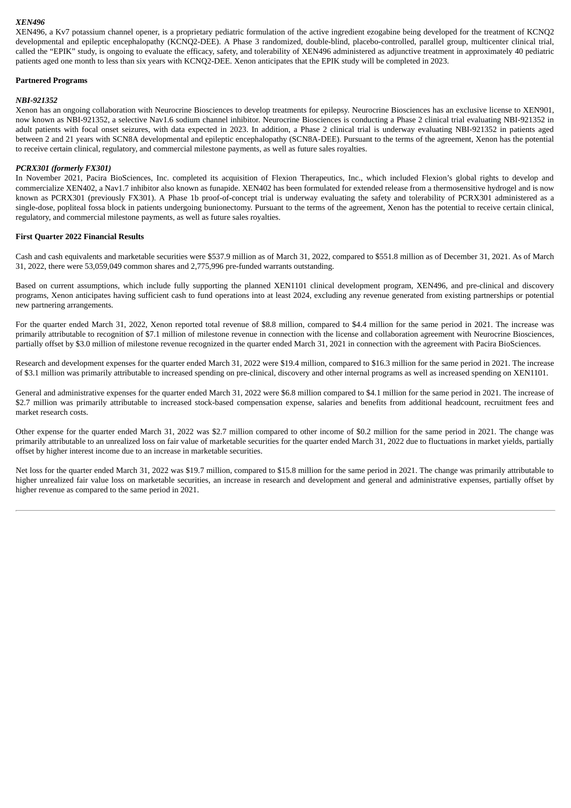#### *XEN496*

XEN496, a Kv7 potassium channel opener, is a proprietary pediatric formulation of the active ingredient ezogabine being developed for the treatment of KCNQ2 developmental and epileptic encephalopathy (KCNQ2-DEE). A Phase 3 randomized, double-blind, placebo-controlled, parallel group, multicenter clinical trial, called the "EPIK" study, is ongoing to evaluate the efficacy, safety, and tolerability of XEN496 administered as adjunctive treatment in approximately 40 pediatric patients aged one month to less than six years with KCNQ2-DEE. Xenon anticipates that the EPIK study will be completed in 2023.

#### **Partnered Programs**

#### *NBI-921352*

Xenon has an ongoing collaboration with Neurocrine Biosciences to develop treatments for epilepsy. Neurocrine Biosciences has an exclusive license to XEN901, now known as NBI-921352, a selective Nav1.6 sodium channel inhibitor. Neurocrine Biosciences is conducting a Phase 2 clinical trial evaluating NBI-921352 in adult patients with focal onset seizures, with data expected in 2023. In addition, a Phase 2 clinical trial is underway evaluating NBI-921352 in patients aged between 2 and 21 years with SCN8A developmental and epileptic encephalopathy (SCN8A-DEE). Pursuant to the terms of the agreement, Xenon has the potential to receive certain clinical, regulatory, and commercial milestone payments, as well as future sales royalties.

#### *PCRX301 (formerly FX301)*

In November 2021, Pacira BioSciences, Inc. completed its acquisition of Flexion Therapeutics, Inc., which included Flexion's global rights to develop and commercialize XEN402, a Nav1.7 inhibitor also known as funapide. XEN402 has been formulated for extended release from a thermosensitive hydrogel and is now known as PCRX301 (previously FX301). A Phase 1b proof-of-concept trial is underway evaluating the safety and tolerability of PCRX301 administered as a single-dose, popliteal fossa block in patients undergoing bunionectomy. Pursuant to the terms of the agreement, Xenon has the potential to receive certain clinical, regulatory, and commercial milestone payments, as well as future sales royalties.

#### **First Quarter 2022 Financial Results**

Cash and cash equivalents and marketable securities were \$537.9 million as of March 31, 2022, compared to \$551.8 million as of December 31, 2021. As of March 31, 2022, there were 53,059,049 common shares and 2,775,996 pre-funded warrants outstanding.

Based on current assumptions, which include fully supporting the planned XEN1101 clinical development program, XEN496, and pre-clinical and discovery programs, Xenon anticipates having sufficient cash to fund operations into at least 2024, excluding any revenue generated from existing partnerships or potential new partnering arrangements.

For the quarter ended March 31, 2022, Xenon reported total revenue of \$8.8 million, compared to \$4.4 million for the same period in 2021. The increase was primarily attributable to recognition of \$7.1 million of milestone revenue in connection with the license and collaboration agreement with Neurocrine Biosciences, partially offset by \$3.0 million of milestone revenue recognized in the quarter ended March 31, 2021 in connection with the agreement with Pacira BioSciences.

Research and development expenses for the quarter ended March 31, 2022 were \$19.4 million, compared to \$16.3 million for the same period in 2021. The increase of \$3.1 million was primarily attributable to increased spending on pre-clinical, discovery and other internal programs as well as increased spending on XEN1101.

General and administrative expenses for the quarter ended March 31, 2022 were \$6.8 million compared to \$4.1 million for the same period in 2021. The increase of \$2.7 million was primarily attributable to increased stock-based compensation expense, salaries and benefits from additional headcount, recruitment fees and market research costs.

Other expense for the quarter ended March 31, 2022 was \$2.7 million compared to other income of \$0.2 million for the same period in 2021. The change was primarily attributable to an unrealized loss on fair value of marketable securities for the quarter ended March 31, 2022 due to fluctuations in market yields, partially offset by higher interest income due to an increase in marketable securities.

Net loss for the quarter ended March 31, 2022 was \$19.7 million, compared to \$15.8 million for the same period in 2021. The change was primarily attributable to higher unrealized fair value loss on marketable securities, an increase in research and development and general and administrative expenses, partially offset by higher revenue as compared to the same period in 2021.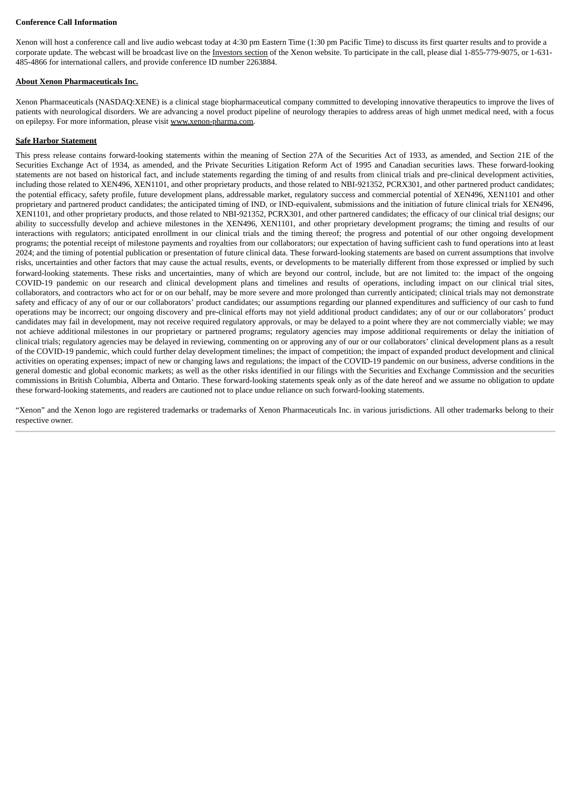#### **Conference Call Information**

Xenon will host a conference call and live audio webcast today at 4:30 pm Eastern Time (1:30 pm Pacific Time) to discuss its first quarter results and to provide a corporate update. The webcast will be broadcast live on the Investors section of the Xenon website. To participate in the call, please dial 1-855-779-9075, or 1-631- 485-4866 for international callers, and provide conference ID number 2263884.

#### **About Xenon Pharmaceuticals Inc.**

Xenon Pharmaceuticals (NASDAQ:XENE) is a clinical stage biopharmaceutical company committed to developing innovative therapeutics to improve the lives of patients with neurological disorders. We are advancing a novel product pipeline of neurology therapies to address areas of high unmet medical need, with a focus on epilepsy. For more information, please visit www.xenon-pharma.com.

#### **Safe Harbor Statement**

This press release contains forward-looking statements within the meaning of Section 27A of the Securities Act of 1933, as amended, and Section 21E of the Securities Exchange Act of 1934, as amended, and the Private Securities Litigation Reform Act of 1995 and Canadian securities laws. These forward-looking statements are not based on historical fact, and include statements regarding the timing of and results from clinical trials and pre-clinical development activities, including those related to XEN496, XEN1101, and other proprietary products, and those related to NBI-921352, PCRX301, and other partnered product candidates; the potential efficacy, safety profile, future development plans, addressable market, regulatory success and commercial potential of XEN496, XEN1101 and other proprietary and partnered product candidates; the anticipated timing of IND, or IND-equivalent, submissions and the initiation of future clinical trials for XEN496, XEN1101, and other proprietary products, and those related to NBI-921352, PCRX301, and other partnered candidates; the efficacy of our clinical trial designs; our ability to successfully develop and achieve milestones in the XEN496, XEN1101, and other proprietary development programs; the timing and results of our interactions with regulators; anticipated enrollment in our clinical trials and the timing thereof; the progress and potential of our other ongoing development programs; the potential receipt of milestone payments and royalties from our collaborators; our expectation of having sufficient cash to fund operations into at least 2024; and the timing of potential publication or presentation of future clinical data. These forward-looking statements are based on current assumptions that involve risks, uncertainties and other factors that may cause the actual results, events, or developments to be materially different from those expressed or implied by such forward-looking statements. These risks and uncertainties, many of which are beyond our control, include, but are not limited to: the impact of the ongoing COVID-19 pandemic on our research and clinical development plans and timelines and results of operations, including impact on our clinical trial sites, collaborators, and contractors who act for or on our behalf, may be more severe and more prolonged than currently anticipated; clinical trials may not demonstrate safety and efficacy of any of our or our collaborators' product candidates; our assumptions regarding our planned expenditures and sufficiency of our cash to fund operations may be incorrect; our ongoing discovery and pre-clinical efforts may not yield additional product candidates; any of our or our collaborators' product candidates may fail in development, may not receive required regulatory approvals, or may be delayed to a point where they are not commercially viable; we may not achieve additional milestones in our proprietary or partnered programs; regulatory agencies may impose additional requirements or delay the initiation of clinical trials; regulatory agencies may be delayed in reviewing, commenting on or approving any of our or our collaborators' clinical development plans as a result of the COVID-19 pandemic, which could further delay development timelines; the impact of competition; the impact of expanded product development and clinical activities on operating expenses; impact of new or changing laws and regulations; the impact of the COVID-19 pandemic on our business, adverse conditions in the general domestic and global economic markets; as well as the other risks identified in our filings with the Securities and Exchange Commission and the securities commissions in British Columbia, Alberta and Ontario. These forward-looking statements speak only as of the date hereof and we assume no obligation to update these forward-looking statements, and readers are cautioned not to place undue reliance on such forward-looking statements.

"Xenon" and the Xenon logo are registered trademarks or trademarks of Xenon Pharmaceuticals Inc. in various jurisdictions. All other trademarks belong to their respective owner.